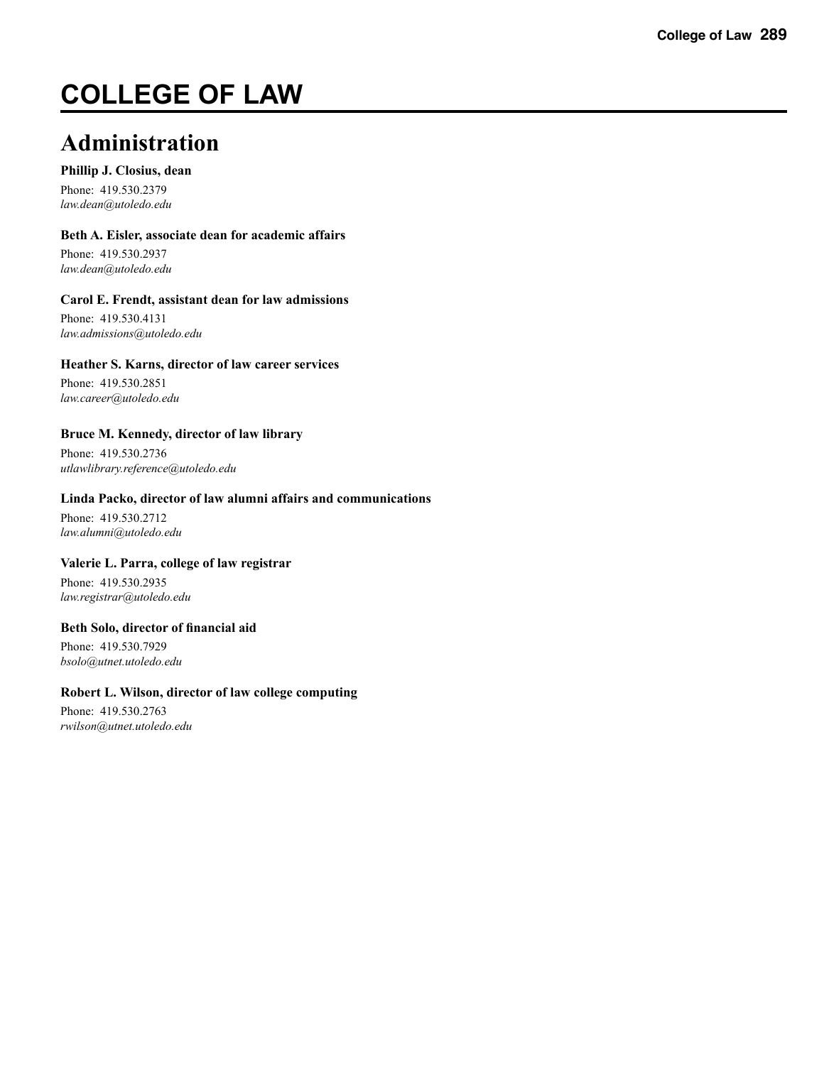# **COLLEGE OF LAW**

## **Administration**

#### **Phillip J. Closius, dean**

Phone: 419.530.2379 *law.dean@utoledo.edu*

#### **Beth A. Eisler, associate dean for academic affairs**

Phone: 419.530.2937 *law.dean@utoledo.edu* 

#### **Carol E. Frendt, assistant dean for law admissions**

Phone: 419.530.4131 *law.admissions@utoledo.edu* 

#### **Heather S. Karns, director of law career services**

Phone: 419.530.2851 *law.career@utoledo.edu* 

#### **Bruce M. Kennedy, director of law library**

Phone: 419.530.2736 *utlawlibrary.reference@utoledo.edu* 

#### **Linda Packo, director of law alumni affairs and communications**

Phone: 419.530.2712 *law.alumni@utoledo.edu* 

#### **Valerie L. Parra, college of law registrar**

Phone: 419.530.2935 *law.registrar@utoledo.edu* 

#### **Beth Solo, director of financial aid**

Phone: 419.530.7929 *bsolo@utnet.utoledo.edu* 

#### **Robert L. Wilson, director of law college computing**

Phone: 419.530.2763 *rwilson@utnet.utoledo.edu*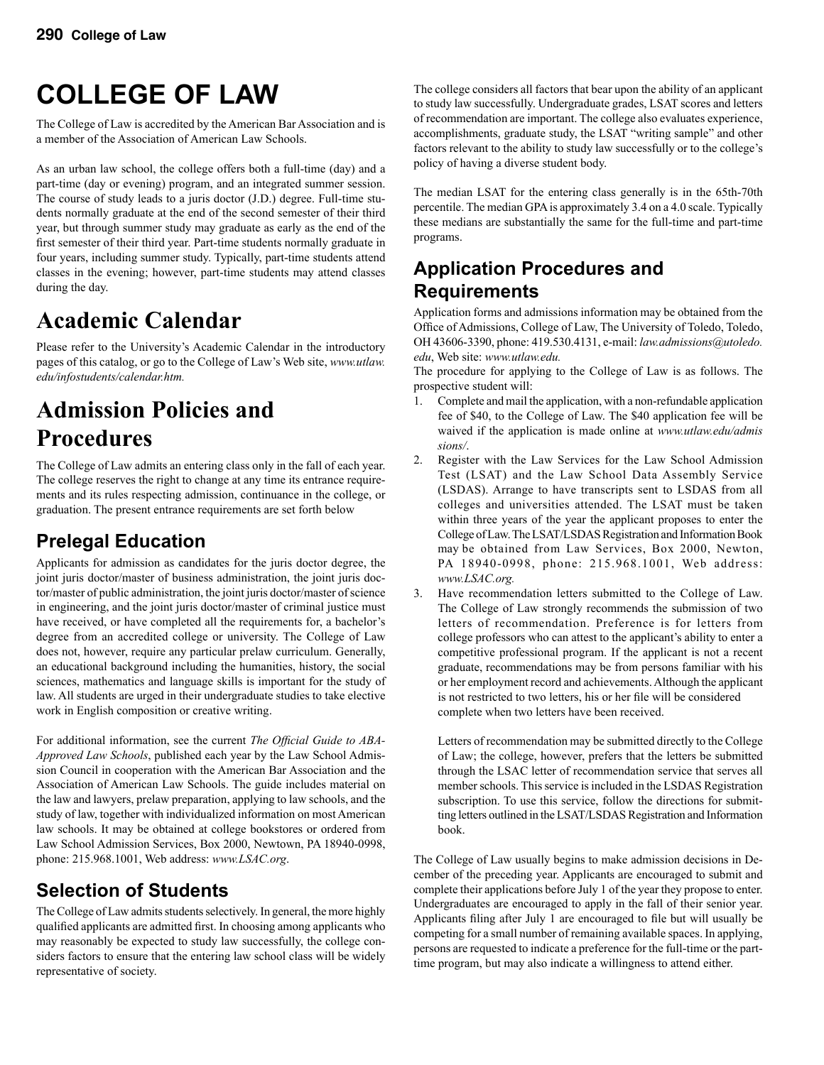# **COLLEGE OF LAW**

The College of Law is accredited by the American Bar Association and is a member of the Association of American Law Schools.

As an urban law school, the college offers both a full-time (day) and a part-time (day or evening) program, and an integrated summer session. The course of study leads to a juris doctor (J.D.) degree. Full-time students normally graduate at the end of the second semester of their third year, but through summer study may graduate as early as the end of the first semester of their third year. Part-time students normally graduate in four years, including summer study. Typically, part-time students attend classes in the evening; however, part-time students may attend classes during the day.

## **Academic Calendar**

Please refer to the University's Academic Calendar in the introductory pages of this catalog, or go to the College of Law's Web site, *www.utlaw. edu/infostudents/calendar.htm.*

## **Admission Policies and Procedures**

The College of Law admits an entering class only in the fall of each year. The college reserves the right to change at any time its entrance requirements and its rules respecting admission, continuance in the college, or graduation. The present entrance requirements are set forth below

## **Prelegal Education**

Applicants for admission as candidates for the juris doctor degree, the joint juris doctor/master of business administration, the joint juris doctor/master of public administration, the joint juris doctor/master of science in engineering, and the joint juris doctor/master of criminal justice must have received, or have completed all the requirements for, a bachelor's degree from an accredited college or university. The College of Law does not, however, require any particular prelaw curriculum. Generally, an educational background including the humanities, history, the social sciences, mathematics and language skills is important for the study of law. All students are urged in their undergraduate studies to take elective work in English composition or creative writing.

For additional information, see the current *The Official Guide to ABA-Approved Law Schools*, published each year by the Law School Admission Council in cooperation with the American Bar Association and the Association of American Law Schools. The guide includes material on the law and lawyers, prelaw preparation, applying to law schools, and the study of law, together with individualized information on most American law schools. It may be obtained at college bookstores or ordered from Law School Admission Services, Box 2000, Newtown, PA 18940-0998, phone: 215.968.1001, Web address: *www.LSAC.org*.

## **Selection of Students**

The College of Law admits students selectively. In general, the more highly qualified applicants are admitted first. In choosing among applicants who may reasonably be expected to study law successfully, the college considers factors to ensure that the entering law school class will be widely representative of society.

The college considers all factors that bear upon the ability of an applicant to study law successfully. Undergraduate grades, LSAT scores and letters of recommendation are important. The college also evaluates experience, accomplishments, graduate study, the LSAT "writing sample" and other factors relevant to the ability to study law successfully or to the college's policy of having a diverse student body.

The median LSAT for the entering class generally is in the 65th-70th percentile. The median GPA is approximately 3.4 on a 4.0 scale. Typically these medians are substantially the same for the full-time and part-time programs.

#### **Application Procedures and Requirements**

Application forms and admissions information may be obtained from the Office of Admissions, College of Law, The University of Toledo, Toledo, OH 43606-3390, phone: 419.530.4131, e-mail: *law.admissions@utoledo. edu*, Web site: *www.utlaw.edu.*

The procedure for applying to the College of Law is as follows. The prospective student will:

- 1. Complete and mail the application, with a non-refundable application fee of \$40, to the College of Law. The \$40 application fee will be waived if the application is made online at *www.utlaw.edu/admis sions/*.
- 2. Register with the Law Services for the Law School Admission Test (LSAT) and the Law School Data Assembly Service (LSDAS). Arrange to have transcripts sent to LSDAS from all colleges and universities attended. The LSAT must be taken within three years of the year the applicant proposes to enter the College of Law. The LSAT/LSDAS Registration and Information Book may be obtained from Law Services, Box 2000, Newton, PA 18940-0998, phone: 215.968.1001, Web address:  *www.LSAC.org.*
- 3. Have recommendation letters submitted to the College of Law. The College of Law strongly recommends the submission of two letters of recommendation. Preference is for letters from college professors who can attest to the applicant's ability to enter a competitive professional program. If the applicant is not a recent graduate, recommendations may be from persons familiar with his or her employment record and achievements. Although the applicant is not restricted to two letters, his or her file will be considered complete when two letters have been received.

 Letters of recommendation may be submitted directly to the College of Law; the college, however, prefers that the letters be submitted through the LSAC letter of recommendation service that serves all member schools. This service is included in the LSDAS Registration subscription. To use this service, follow the directions for submit ting letters outlined in the LSAT/LSDAS Registration and Information book.

The College of Law usually begins to make admission decisions in December of the preceding year. Applicants are encouraged to submit and complete their applications before July 1 of the year they propose to enter. Undergraduates are encouraged to apply in the fall of their senior year. Applicants filing after July 1 are encouraged to file but will usually be competing for a small number of remaining available spaces. In applying, persons are requested to indicate a preference for the full-time or the parttime program, but may also indicate a willingness to attend either.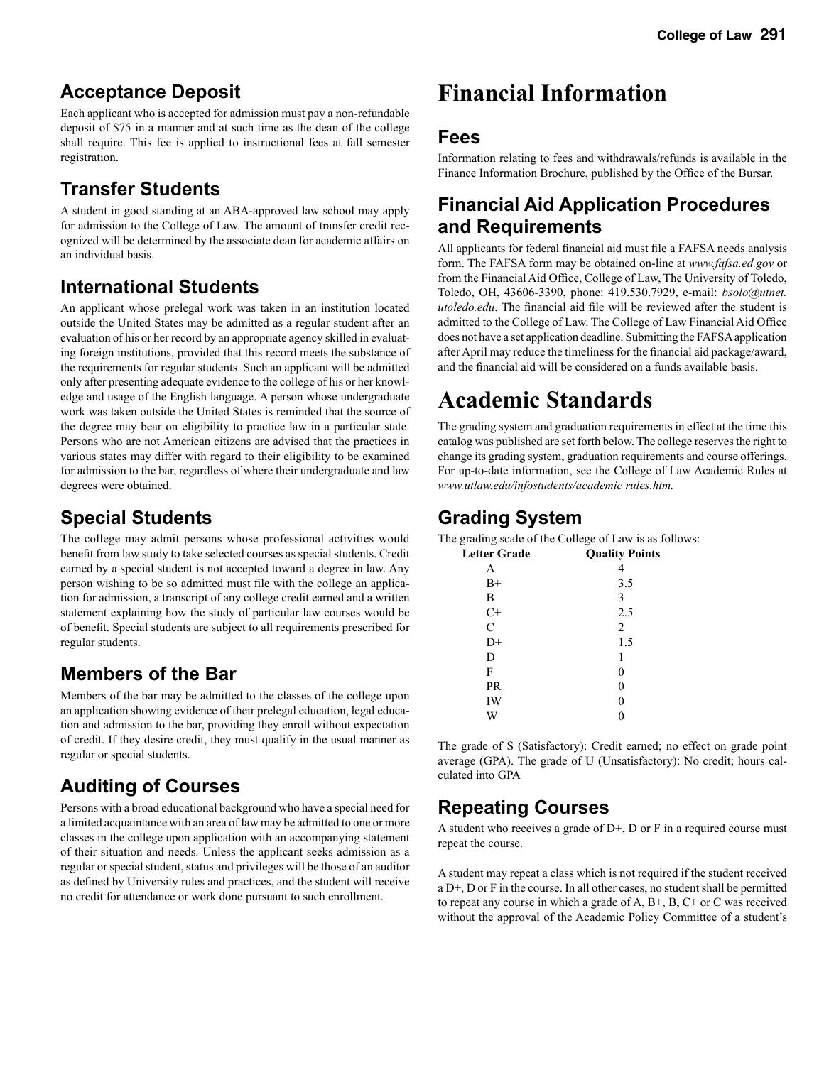#### **Acceptance Deposit**

Each applicant who is accepted for admission must pay a non-refundable deposit of \$75 in a manner and at such time as the dean of the college shall require. This fee is applied to instructional fees at fall semester registration.

### **Transfer Students**

A student in good standing at an ABA-approved law school may apply for admission to the College of Law. The amount of transfer credit recognized will be determined by the associate dean for academic affairs on an individual basis.

### **International Students**

An applicant whose prelegal work was taken in an institution located outside the United States may be admitted as a regular student after an evaluation of his or her record by an appropriate agency skilled in evaluating foreign institutions, provided that this record meets the substance of the requirements for regular students. Such an applicant will be admitted only after presenting adequate evidence to the college of his or her knowledge and usage of the English language. A person whose undergraduate work was taken outside the United States is reminded that the source of the degree may bear on eligibility to practice law in a particular state. Persons who are not American citizens are advised that the practices in various states may differ with regard to their eligibility to be examined for admission to the bar, regardless of where their undergraduate and law degrees were obtained.

#### **Special Students**

The college may admit persons whose professional activities would benefit from law study to take selected courses as special students. Credit earned by a special student is not accepted toward a degree in law. Any person wishing to be so admitted must file with the college an application for admission, a transcript of any college credit earned and a written statement explaining how the study of particular law courses would be of benefit. Special students are subject to all requirements prescribed for regular students.

#### **Members of the Bar**

Members of the bar may be admitted to the classes of the college upon an application showing evidence of their prelegal education, legal education and admission to the bar, providing they enroll without expectation of credit. If they desire credit, they must qualify in the usual manner as regular or special students.

## **Auditing of Courses**

Persons with a broad educational background who have a special need for a limited acquaintance with an area of law may be admitted to one or more classes in the college upon application with an accompanying statement of their situation and needs. Unless the applicant seeks admission as a regular or special student, status and privileges will be those of an auditor as defined by University rules and practices, and the student will receive no credit for attendance or work done pursuant to such enrollment.

## **Financial Information**

#### **Fees**

Information relating to fees and withdrawals/refunds is available in the Finance Information Brochure, published by the Office of the Bursar.

#### **Financial Aid Application Procedures and Requirements**

All applicants for federal financial aid must file a FAFSA needs analysis form. The FAFSA form may be obtained on-line at *www.fafsa.ed.gov* or from the Financial Aid Office, College of Law, The University of Toledo, Toledo, OH, 43606-3390, phone: 419.530.7929, e-mail: *bsolo@utnet. utoledo.edu*. The financial aid file will be reviewed after the student is admitted to the College of Law. The College of Law Financial Aid Office does not have a set application deadline. Submitting the FAFSA application after April may reduce the timeliness for the financial aid package/award, and the financial aid will be considered on a funds available basis.

## **Academic Standards**

The grading system and graduation requirements in effect at the time this catalog was published are set forth below. The college reserves the right to change its grading system, graduation requirements and course offerings. For up-to-date information, see the College of Law Academic Rules at *www.utlaw.edu/infostudents/academic rules.htm.*

#### **Grading System**

The grading scale of the College of Law is as follows:

| <b>Letter Grade</b> | <b>Quality Points</b> |
|---------------------|-----------------------|
| A                   |                       |
| $B+$                | 3.5                   |
| B                   | 3                     |
| $C+$                | 2.5                   |
| $\mathcal{C}$       | $\overline{2}$        |
| D+                  | 1.5                   |
| D                   | 1                     |
| F                   | 0                     |
| PR                  | 0                     |
| IW                  | 0                     |
|                     |                       |
|                     |                       |

The grade of S (Satisfactory): Credit earned; no effect on grade point average (GPA). The grade of U (Unsatisfactory): No credit; hours calculated into GPA

#### **Repeating Courses**

A student who receives a grade of  $D<sup>+</sup>$ , D or F in a required course must repeat the course.

A student may repeat a class which is not required if the student received a D+, D or F in the course. In all other cases, no student shall be permitted to repeat any course in which a grade of A, B+, B, C+ or C was received without the approval of the Academic Policy Committee of a student's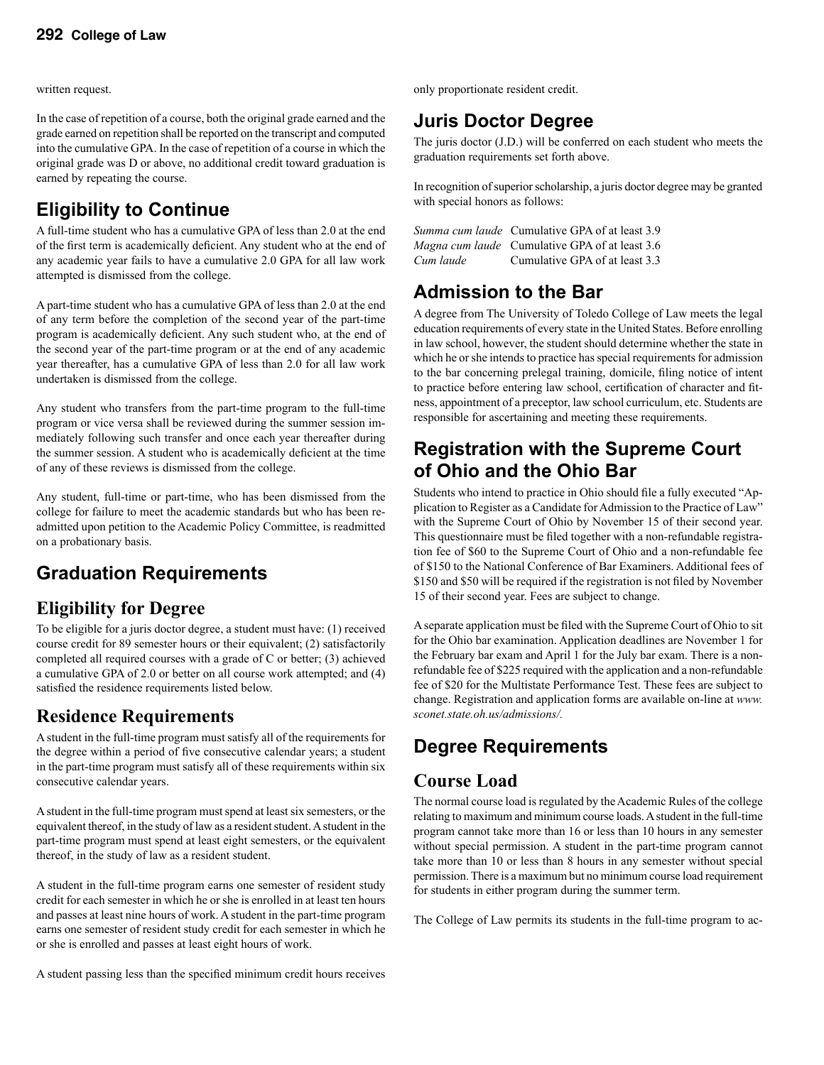written request.

In the case of repetition of a course, both the original grade earned and the grade earned on repetition shall be reported on the transcript and computed into the cumulative GPA. In the case of repetition of a course in which the original grade was D or above, no additional credit toward graduation is earned by repeating the course.

## **Eligibility to Continue**

A full-time student who has a cumulative GPA of less than 2.0 at the end of the first term is academically deficient. Any student who at the end of any academic year fails to have a cumulative 2.0 GPA for all law work attempted is dismissed from the college.

A part-time student who has a cumulative GPA of less than 2.0 at the end of any term before the completion of the second year of the part-time program is academically deficient. Any such student who, at the end of the second year of the part-time program or at the end of any academic year thereafter, has a cumulative GPA of less than 2.0 for all law work undertaken is dismissed from the college.

Any student who transfers from the part-time program to the full-time program or vice versa shall be reviewed during the summer session immediately following such transfer and once each year thereafter during the summer session. A student who is academically deficient at the time of any of these reviews is dismissed from the college.

Any student, full-time or part-time, who has been dismissed from the college for failure to meet the academic standards but who has been readmitted upon petition to the Academic Policy Committee, is readmitted on a probationary basis.

### **Graduation Requirements**

#### **Eligibility for Degree**

To be eligible for a juris doctor degree, a student must have: (1) received course credit for 89 semester hours or their equivalent; (2) satisfactorily completed all required courses with a grade of C or better; (3) achieved a cumulative GPA of 2.0 or better on all course work attempted; and (4) satisfied the residence requirements listed below.

### **Residence Requirements**

A student in the full-time program must satisfy all of the requirements for the degree within a period of five consecutive calendar years; a student in the part-time program must satisfy all of these requirements within six consecutive calendar years.

A student in the full-time program must spend at least six semesters, or the equivalent thereof, in the study of law as a resident student. A student in the part-time program must spend at least eight semesters, or the equivalent thereof, in the study of law as a resident student.

A student in the full-time program earns one semester of resident study credit for each semester in which he or she is enrolled in at least ten hours and passes at least nine hours of work. A student in the part-time program earns one semester of resident study credit for each semester in which he or she is enrolled and passes at least eight hours of work.

A student passing less than the specified minimum credit hours receives

only proportionate resident credit.

### **Juris Doctor Degree**

The juris doctor (J.D.) will be conferred on each student who meets the graduation requirements set forth above.

In recognition of superior scholarship, a juris doctor degree may be granted with special honors as follows:

|           | <i>Summa cum laude</i> Cumulative GPA of at least 3.9 |
|-----------|-------------------------------------------------------|
|           | Magna cum laude Cumulative GPA of at least 3.6        |
| Cum laude | Cumulative GPA of at least 3.3                        |

#### **Admission to the Bar**

A degree from The University of Toledo College of Law meets the legal education requirements of every state in the United States. Before enrolling in law school, however, the student should determine whether the state in which he or she intends to practice has special requirements for admission to the bar concerning prelegal training, domicile, filing notice of intent to practice before entering law school, certification of character and fitness, appointment of a preceptor, law school curriculum, etc. Students are responsible for ascertaining and meeting these requirements.

#### **Registration with the Supreme Court of Ohio and the Ohio Bar**

Students who intend to practice in Ohio should file a fully executed "Application to Register as a Candidate for Admission to the Practice of Law" with the Supreme Court of Ohio by November 15 of their second year. This questionnaire must be filed together with a non-refundable registration fee of \$60 to the Supreme Court of Ohio and a non-refundable fee of \$150 to the National Conference of Bar Examiners. Additional fees of \$150 and \$50 will be required if the registration is not filed by November 15 of their second year. Fees are subject to change.

A separate application must be filed with the Supreme Court of Ohio to sit for the Ohio bar examination. Application deadlines are November 1 for the February bar exam and April 1 for the July bar exam. There is a nonrefundable fee of \$225 required with the application and a non-refundable fee of \$20 for the Multistate Performance Test. These fees are subject to change. Registration and application forms are available on-line at *www. sconet.state.oh.us/admissions/.*

### **Degree Requirements**

#### **Course Load**

The normal course load is regulated by the Academic Rules of the college relating to maximum and minimum course loads. A student in the full-time program cannot take more than 16 or less than 10 hours in any semester without special permission. A student in the part-time program cannot take more than 10 or less than 8 hours in any semester without special permission. There is a maximum but no minimum course load requirement for students in either program during the summer term.

The College of Law permits its students in the full-time program to ac-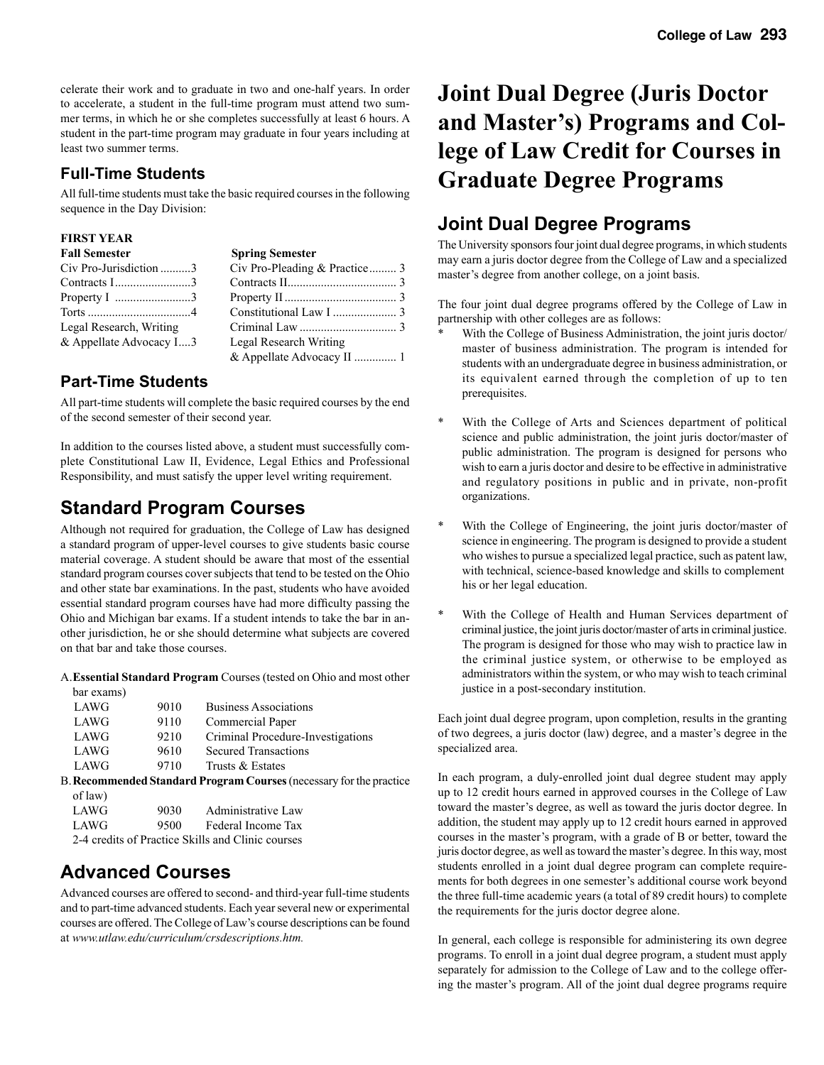celerate their work and to graduate in two and one-half years. In order to accelerate, a student in the full-time program must attend two summer terms, in which he or she completes successfully at least 6 hours. A student in the part-time program may graduate in four years including at least two summer terms.

#### **Full-Time Students**

All full-time students must take the basic required courses in the following sequence in the Day Division:

#### **FIRST YEAR**

| <b>Fall Semester</b>                         | <b>Spring Semester</b>        |  |
|----------------------------------------------|-------------------------------|--|
| Civ Pro-Jurisdiction 3                       | Civ Pro-Pleading & Practice 3 |  |
| Contracts $1$ 3                              |                               |  |
| Property I $\dots\dots\dots\dots\dots\dots3$ |                               |  |
|                                              |                               |  |
| Legal Research, Writing                      |                               |  |
| & Appellate Advocacy I3                      | Legal Research Writing        |  |
|                                              |                               |  |

#### **Part-Time Students**

All part-time students will complete the basic required courses by the end of the second semester of their second year.

In addition to the courses listed above, a student must successfully complete Constitutional Law II, Evidence, Legal Ethics and Professional Responsibility, and must satisfy the upper level writing requirement.

#### **Standard Program Courses**

Although not required for graduation, the College of Law has designed a standard program of upper-level courses to give students basic course material coverage. A student should be aware that most of the essential standard program courses cover subjects that tend to be tested on the Ohio and other state bar examinations. In the past, students who have avoided essential standard program courses have had more difficulty passing the Ohio and Michigan bar exams. If a student intends to take the bar in another jurisdiction, he or she should determine what subjects are covered on that bar and take those courses.

A. **Essential Standard Program** Courses (tested on Ohio and most other bar exams)

| LAWG                                                         | 9010 | <b>Business Associations</b>      |  |  |
|--------------------------------------------------------------|------|-----------------------------------|--|--|
| <b>LAWG</b>                                                  | 9110 | Commercial Paper                  |  |  |
| LAWG                                                         | 9210 | Criminal Procedure-Investigations |  |  |
| LAWG                                                         | 9610 | <b>Secured Transactions</b>       |  |  |
| LAWG                                                         | 9710 | Trusts & Estates                  |  |  |
| R Recommended Standard Program Courses (pecessary for the pr |      |                                   |  |  |

B. **Recommended Standard Program Courses** (necessary for the practice of law)

| LAWG                                                                                                                                                                                                                                                    | 9030 | Administrative Law |  |  |
|---------------------------------------------------------------------------------------------------------------------------------------------------------------------------------------------------------------------------------------------------------|------|--------------------|--|--|
| LAWG                                                                                                                                                                                                                                                    | 9500 | Federal Income Tax |  |  |
| $2.4 \t 11.02 \t 12.01 \t 111.101 \t 12.011 \t 13.011 \t 14.011 \t 15.011 \t 16.011 \t 17.011 \t 18.011 \t 19.011 \t 19.011 \t 10.011 \t 11.011 \t 12.011 \t 13.011 \t 14.011 \t 15.011 \t 16.011 \t 17.011 \t 18.011 \t 19.011 \t 19.011 \t 19.011 \t$ |      |                    |  |  |

2-4 credits of Practice Skills and Clinic courses

### **Advanced Courses**

Advanced courses are offered to second- and third-year full-time students and to part-time advanced students. Each year several new or experimental courses are offered. The College of Law's course descriptions can be found at *www.utlaw.edu/curriculum/crsdescriptions.htm.* 

## **Joint Dual Degree (Juris Doctor and Master's) Programs and College of Law Credit for Courses in Graduate Degree Programs**

#### **Joint Dual Degree Programs**

The University sponsors four joint dual degree programs, in which students may earn a juris doctor degree from the College of Law and a specialized master's degree from another college, on a joint basis.

The four joint dual degree programs offered by the College of Law in partnership with other colleges are as follows:

- With the College of Business Administration, the joint juris doctor/ master of business administration. The program is intended for students with an undergraduate degree in business administration, or its equivalent earned through the completion of up to ten prerequisites.
- \* With the College of Arts and Sciences department of political science and public administration, the joint juris doctor/master of public administration. The program is designed for persons who wish to earn a juris doctor and desire to be effective in administrative and regulatory positions in public and in private, non-profit organizations.
- \* With the College of Engineering, the joint juris doctor/master of science in engineering. The program is designed to provide a student who wishes to pursue a specialized legal practice, such as patent law, with technical, science-based knowledge and skills to complement his or her legal education.
- With the College of Health and Human Services department of criminal justice, the joint juris doctor/master of arts in criminal justice. The program is designed for those who may wish to practice law in the criminal justice system, or otherwise to be employed as administrators within the system, or who may wish to teach criminal justice in a post-secondary institution.

Each joint dual degree program, upon completion, results in the granting of two degrees, a juris doctor (law) degree, and a master's degree in the specialized area.

In each program, a duly-enrolled joint dual degree student may apply up to 12 credit hours earned in approved courses in the College of Law toward the master's degree, as well as toward the juris doctor degree. In addition, the student may apply up to 12 credit hours earned in approved courses in the master's program, with a grade of B or better, toward the juris doctor degree, as well as toward the master's degree. In this way, most students enrolled in a joint dual degree program can complete requirements for both degrees in one semester's additional course work beyond the three full-time academic years (a total of 89 credit hours) to complete the requirements for the juris doctor degree alone.

In general, each college is responsible for administering its own degree programs. To enroll in a joint dual degree program, a student must apply separately for admission to the College of Law and to the college offering the master's program. All of the joint dual degree programs require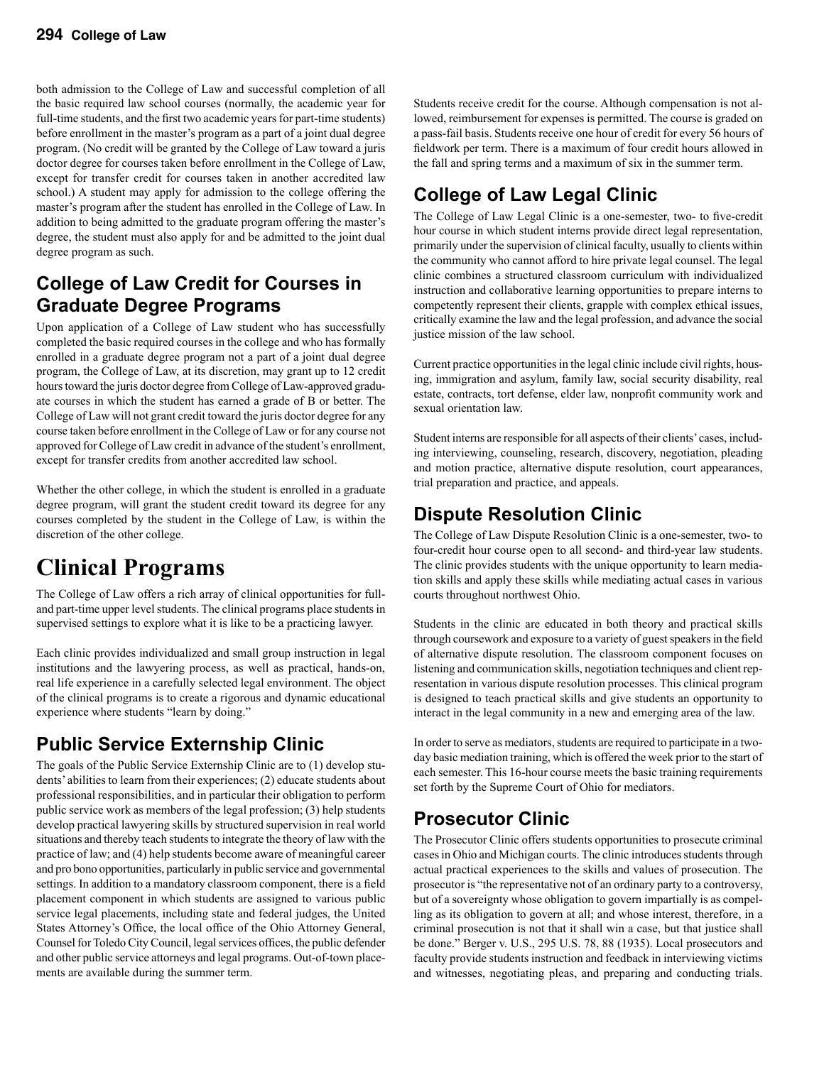both admission to the College of Law and successful completion of all the basic required law school courses (normally, the academic year for full-time students, and the first two academic years for part-time students) before enrollment in the master's program as a part of a joint dual degree program. (No credit will be granted by the College of Law toward a juris doctor degree for courses taken before enrollment in the College of Law, except for transfer credit for courses taken in another accredited law school.) A student may apply for admission to the college offering the master's program after the student has enrolled in the College of Law. In addition to being admitted to the graduate program offering the master's degree, the student must also apply for and be admitted to the joint dual degree program as such.

### **College of Law Credit for Courses in Graduate Degree Programs**

Upon application of a College of Law student who has successfully completed the basic required courses in the college and who has formally enrolled in a graduate degree program not a part of a joint dual degree program, the College of Law, at its discretion, may grant up to 12 credit hours toward the juris doctor degree from College of Law-approved graduate courses in which the student has earned a grade of B or better. The College of Law will not grant credit toward the juris doctor degree for any course taken before enrollment in the College of Law or for any course not approved for College of Law credit in advance of the student's enrollment, except for transfer credits from another accredited law school.

Whether the other college, in which the student is enrolled in a graduate degree program, will grant the student credit toward its degree for any courses completed by the student in the College of Law, is within the discretion of the other college.

## **Clinical Programs**

The College of Law offers a rich array of clinical opportunities for fulland part-time upper level students. The clinical programs place students in supervised settings to explore what it is like to be a practicing lawyer.

Each clinic provides individualized and small group instruction in legal institutions and the lawyering process, as well as practical, hands-on, real life experience in a carefully selected legal environment. The object of the clinical programs is to create a rigorous and dynamic educational experience where students "learn by doing."

## **Public Service Externship Clinic**

The goals of the Public Service Externship Clinic are to (1) develop students' abilities to learn from their experiences; (2) educate students about professional responsibilities, and in particular their obligation to perform public service work as members of the legal profession; (3) help students develop practical lawyering skills by structured supervision in real world situations and thereby teach students to integrate the theory of law with the practice of law; and (4) help students become aware of meaningful career and pro bono opportunities, particularly in public service and governmental settings. In addition to a mandatory classroom component, there is a field placement component in which students are assigned to various public service legal placements, including state and federal judges, the United States Attorney's Office, the local office of the Ohio Attorney General, Counsel for Toledo City Council, legal services offices, the public defender and other public service attorneys and legal programs. Out-of-town placements are available during the summer term.

Students receive credit for the course. Although compensation is not allowed, reimbursement for expenses is permitted. The course is graded on a pass-fail basis. Students receive one hour of credit for every 56 hours of fieldwork per term. There is a maximum of four credit hours allowed in the fall and spring terms and a maximum of six in the summer term.

## **College of Law Legal Clinic**

The College of Law Legal Clinic is a one-semester, two- to five-credit hour course in which student interns provide direct legal representation, primarily under the supervision of clinical faculty, usually to clients within the community who cannot afford to hire private legal counsel. The legal clinic combines a structured classroom curriculum with individualized instruction and collaborative learning opportunities to prepare interns to competently represent their clients, grapple with complex ethical issues, critically examine the law and the legal profession, and advance the social justice mission of the law school.

Current practice opportunities in the legal clinic include civil rights, housing, immigration and asylum, family law, social security disability, real estate, contracts, tort defense, elder law, nonprofit community work and sexual orientation law.

Student interns are responsible for all aspects of their clients' cases, including interviewing, counseling, research, discovery, negotiation, pleading and motion practice, alternative dispute resolution, court appearances, trial preparation and practice, and appeals.

### **Dispute Resolution Clinic**

The College of Law Dispute Resolution Clinic is a one-semester, two- to four-credit hour course open to all second- and third-year law students. The clinic provides students with the unique opportunity to learn mediation skills and apply these skills while mediating actual cases in various courts throughout northwest Ohio.

Students in the clinic are educated in both theory and practical skills through coursework and exposure to a variety of guest speakers in the field of alternative dispute resolution. The classroom component focuses on listening and communication skills, negotiation techniques and client representation in various dispute resolution processes. This clinical program is designed to teach practical skills and give students an opportunity to interact in the legal community in a new and emerging area of the law.

In order to serve as mediators, students are required to participate in a twoday basic mediation training, which is offered the week prior to the start of each semester. This 16-hour course meets the basic training requirements set forth by the Supreme Court of Ohio for mediators.

## **Prosecutor Clinic**

The Prosecutor Clinic offers students opportunities to prosecute criminal cases in Ohio and Michigan courts. The clinic introduces students through actual practical experiences to the skills and values of prosecution. The prosecutor is "the representative not of an ordinary party to a controversy, but of a sovereignty whose obligation to govern impartially is as compelling as its obligation to govern at all; and whose interest, therefore, in a criminal prosecution is not that it shall win a case, but that justice shall be done." Berger v. U.S., 295 U.S. 78, 88 (1935). Local prosecutors and faculty provide students instruction and feedback in interviewing victims and witnesses, negotiating pleas, and preparing and conducting trials.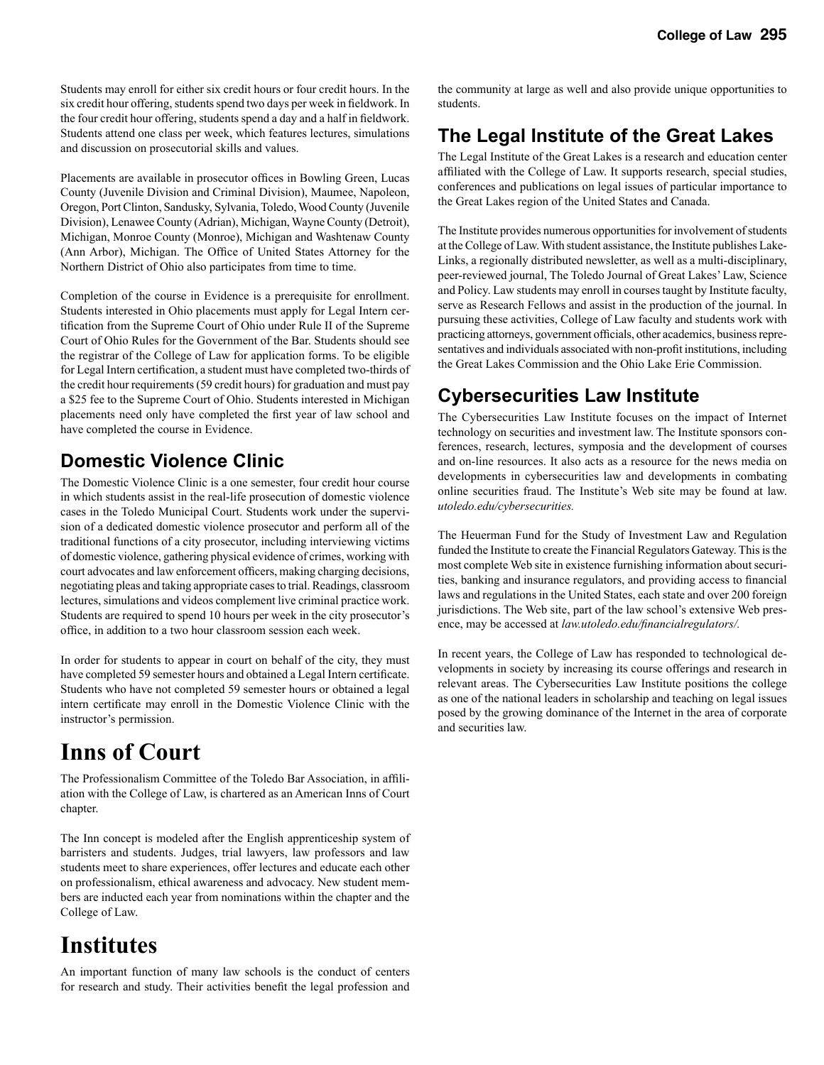Students may enroll for either six credit hours or four credit hours. In the six credit hour offering, students spend two days per week in fieldwork. In the four credit hour offering, students spend a day and a half in fieldwork. Students attend one class per week, which features lectures, simulations and discussion on prosecutorial skills and values.

Placements are available in prosecutor offices in Bowling Green, Lucas County (Juvenile Division and Criminal Division), Maumee, Napoleon, Oregon, Port Clinton, Sandusky, Sylvania, Toledo, Wood County (Juvenile Division), Lenawee County (Adrian), Michigan, Wayne County (Detroit), Michigan, Monroe County (Monroe), Michigan and Washtenaw County (Ann Arbor), Michigan. The Office of United States Attorney for the Northern District of Ohio also participates from time to time.

Completion of the course in Evidence is a prerequisite for enrollment. Students interested in Ohio placements must apply for Legal Intern certification from the Supreme Court of Ohio under Rule II of the Supreme Court of Ohio Rules for the Government of the Bar. Students should see the registrar of the College of Law for application forms. To be eligible for Legal Intern certification, a student must have completed two-thirds of the credit hour requirements (59 credit hours) for graduation and must pay a \$25 fee to the Supreme Court of Ohio. Students interested in Michigan placements need only have completed the first year of law school and have completed the course in Evidence.

#### **Domestic Violence Clinic**

The Domestic Violence Clinic is a one semester, four credit hour course in which students assist in the real-life prosecution of domestic violence cases in the Toledo Municipal Court. Students work under the supervision of a dedicated domestic violence prosecutor and perform all of the traditional functions of a city prosecutor, including interviewing victims of domestic violence, gathering physical evidence of crimes, working with court advocates and law enforcement officers, making charging decisions, negotiating pleas and taking appropriate cases to trial. Readings, classroom lectures, simulations and videos complement live criminal practice work. Students are required to spend 10 hours per week in the city prosecutor's office, in addition to a two hour classroom session each week.

In order for students to appear in court on behalf of the city, they must have completed 59 semester hours and obtained a Legal Intern certificate. Students who have not completed 59 semester hours or obtained a legal intern certificate may enroll in the Domestic Violence Clinic with the instructor's permission.

## **Inns of Court**

The Professionalism Committee of the Toledo Bar Association, in affiliation with the College of Law, is chartered as an American Inns of Court chapter.

The Inn concept is modeled after the English apprenticeship system of barristers and students. Judges, trial lawyers, law professors and law students meet to share experiences, offer lectures and educate each other on professionalism, ethical awareness and advocacy. New student members are inducted each year from nominations within the chapter and the College of Law.

## **Institutes**

An important function of many law schools is the conduct of centers for research and study. Their activities benefit the legal profession and

the community at large as well and also provide unique opportunities to students.

### **The Legal Institute of the Great Lakes**

The Legal Institute of the Great Lakes is a research and education center affiliated with the College of Law. It supports research, special studies, conferences and publications on legal issues of particular importance to the Great Lakes region of the United States and Canada.

The Institute provides numerous opportunities for involvement of students at the College of Law. With student assistance, the Institute publishes Lake-Links, a regionally distributed newsletter, as well as a multi-disciplinary, peer-reviewed journal, The Toledo Journal of Great Lakes' Law, Science and Policy. Law students may enroll in courses taught by Institute faculty, serve as Research Fellows and assist in the production of the journal. In pursuing these activities, College of Law faculty and students work with practicing attorneys, government officials, other academics, business representatives and individuals associated with non-profit institutions, including the Great Lakes Commission and the Ohio Lake Erie Commission.

#### **Cybersecurities Law Institute**

The Cybersecurities Law Institute focuses on the impact of Internet technology on securities and investment law. The Institute sponsors conferences, research, lectures, symposia and the development of courses and on-line resources. It also acts as a resource for the news media on developments in cybersecurities law and developments in combating online securities fraud. The Institute's Web site may be found at law. *utoledo.edu/cybersecurities.*

The Heuerman Fund for the Study of Investment Law and Regulation funded the Institute to create the Financial Regulators Gateway. This is the most complete Web site in existence furnishing information about securities, banking and insurance regulators, and providing access to financial laws and regulations in the United States, each state and over 200 foreign jurisdictions. The Web site, part of the law school's extensive Web presence, may be accessed at *law.utoledo.edu/financialregulators/.*

In recent years, the College of Law has responded to technological developments in society by increasing its course offerings and research in relevant areas. The Cybersecurities Law Institute positions the college as one of the national leaders in scholarship and teaching on legal issues posed by the growing dominance of the Internet in the area of corporate and securities law.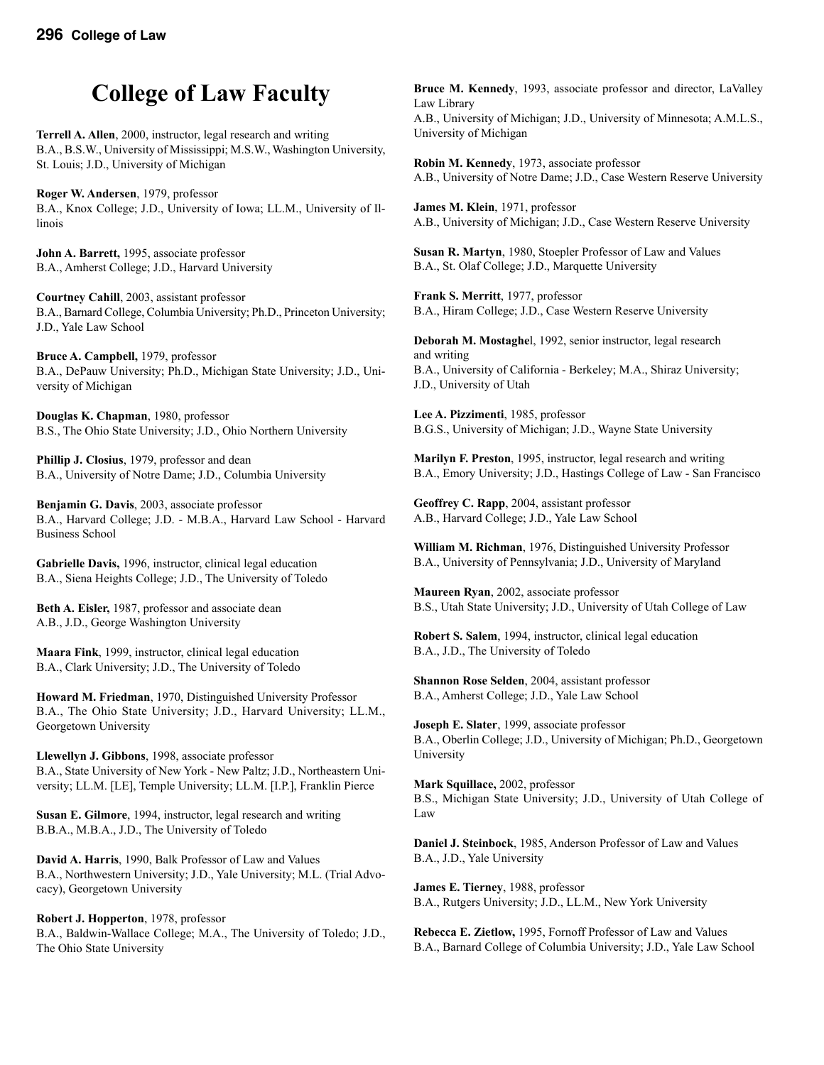## **College of Law Faculty**

**Terrell A. Allen**, 2000, instructor, legal research and writing B.A., B.S.W., University of Mississippi; M.S.W., Washington University, St. Louis; J.D., University of Michigan

**Roger W. Andersen**, 1979, professor B.A., Knox College; J.D., University of Iowa; LL.M., University of Illinois

**John A. Barrett,** 1995, associate professor B.A., Amherst College; J.D., Harvard University

**Courtney Cahill**, 2003, assistant professor B.A., Barnard College, Columbia University; Ph.D., Princeton University; J.D., Yale Law School

**Bruce A. Campbell,** 1979, professor B.A., DePauw University; Ph.D., Michigan State University; J.D., University of Michigan

**Douglas K. Chapman**, 1980, professor B.S., The Ohio State University; J.D., Ohio Northern University

**Phillip J. Closius**, 1979, professor and dean B.A., University of Notre Dame; J.D., Columbia University

**Benjamin G. Davis**, 2003, associate professor B.A., Harvard College; J.D. - M.B.A., Harvard Law School - Harvard Business School

**Gabrielle Davis,** 1996, instructor, clinical legal education B.A., Siena Heights College; J.D., The University of Toledo

**Beth A. Eisler,** 1987, professor and associate dean A.B., J.D., George Washington University

**Maara Fink**, 1999, instructor, clinical legal education B.A., Clark University; J.D., The University of Toledo

**Howard M. Friedman**, 1970, Distinguished University Professor B.A., The Ohio State University; J.D., Harvard University; LL.M., Georgetown University

**Llewellyn J. Gibbons**, 1998, associate professor B.A., State University of New York - New Paltz; J.D., Northeastern University; LL.M. [LE], Temple University; LL.M. [I.P.], Franklin Pierce

**Susan E. Gilmore**, 1994, instructor, legal research and writing B.B.A., M.B.A., J.D., The University of Toledo

**David A. Harris**, 1990, Balk Professor of Law and Values B.A., Northwestern University; J.D., Yale University; M.L. (Trial Advocacy), Georgetown University

**Robert J. Hopperton**, 1978, professor B.A., Baldwin-Wallace College; M.A., The University of Toledo; J.D., The Ohio State University

**Bruce M. Kennedy**, 1993, associate professor and director, LaValley Law Library A.B., University of Michigan; J.D., University of Minnesota; A.M.L.S., University of Michigan

**Robin M. Kennedy**, 1973, associate professor A.B., University of Notre Dame; J.D., Case Western Reserve University

**James M. Klein**, 1971, professor A.B., University of Michigan; J.D., Case Western Reserve University

**Susan R. Martyn**, 1980, Stoepler Professor of Law and Values B.A., St. Olaf College; J.D., Marquette University

**Frank S. Merritt**, 1977, professor B.A., Hiram College; J.D., Case Western Reserve University

**Deborah M. Mostaghe**l, 1992, senior instructor, legal research and writing B.A., University of California - Berkeley; M.A., Shiraz University; J.D., University of Utah

**Lee A. Pizzimenti**, 1985, professor B.G.S., University of Michigan; J.D., Wayne State University

**Marilyn F. Preston**, 1995, instructor, legal research and writing B.A., Emory University; J.D., Hastings College of Law - San Francisco

**Geoffrey C. Rapp**, 2004, assistant professor A.B., Harvard College; J.D., Yale Law School

**William M. Richman**, 1976, Distinguished University Professor B.A., University of Pennsylvania; J.D., University of Maryland

**Maureen Ryan**, 2002, associate professor B.S., Utah State University; J.D., University of Utah College of Law

**Robert S. Salem**, 1994, instructor, clinical legal education B.A., J.D., The University of Toledo

**Shannon Rose Selden**, 2004, assistant professor B.A., Amherst College; J.D., Yale Law School

**Joseph E. Slater**, 1999, associate professor B.A., Oberlin College; J.D., University of Michigan; Ph.D., Georgetown University

**Mark Squillace,** 2002, professor B.S., Michigan State University; J.D., University of Utah College of Law

**Daniel J. Steinbock**, 1985, Anderson Professor of Law and Values B.A., J.D., Yale University

**James E. Tierney**, 1988, professor B.A., Rutgers University; J.D., LL.M., New York University

**Rebecca E. Zietlow,** 1995, Fornoff Professor of Law and Values B.A., Barnard College of Columbia University; J.D., Yale Law School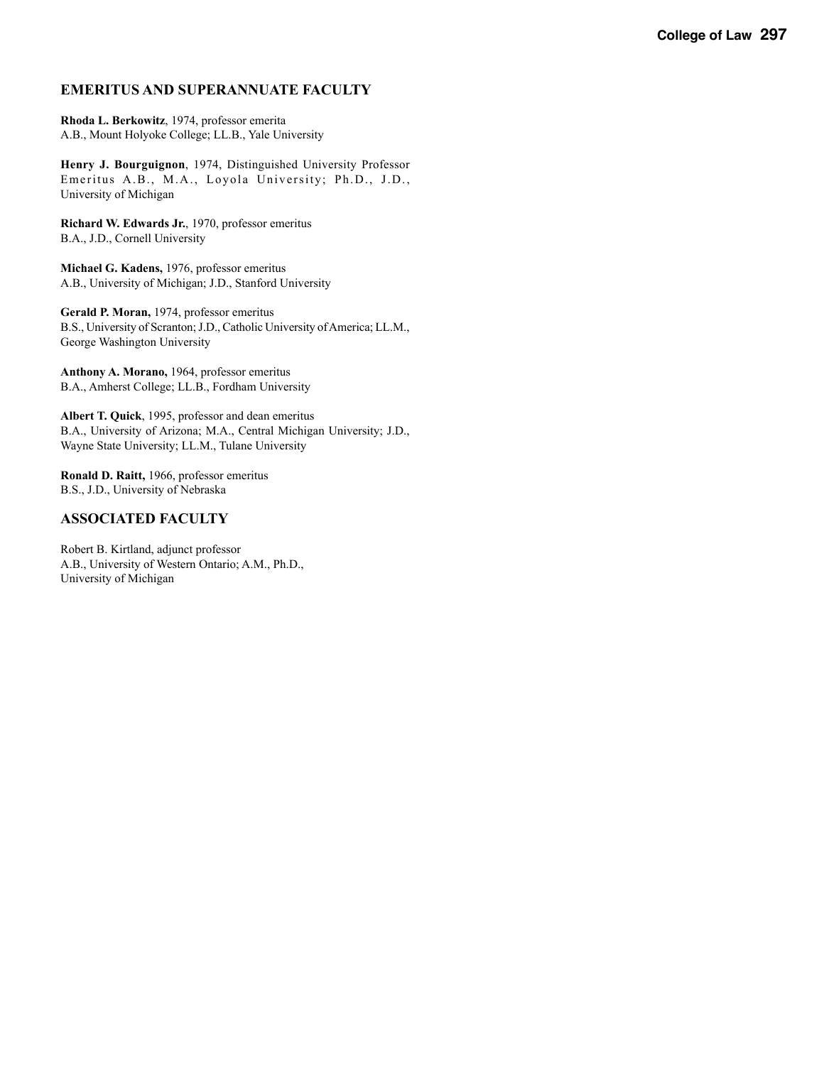#### **EMERITUS AND SUPERANNUATE FACULTY**

**Rhoda L. Berkowitz**, 1974, professor emerita A.B., Mount Holyoke College; LL.B., Yale University

**Henry J. Bourguignon**, 1974, Distinguished University Professor Emeritus A.B., M.A., Loyola University; Ph.D., J.D., University of Michigan

**Richard W. Edwards Jr.**, 1970, professor emeritus B.A., J.D., Cornell University

**Michael G. Kadens,** 1976, professor emeritus A.B., University of Michigan; J.D., Stanford University

**Gerald P. Moran,** 1974, professor emeritus B.S., University of Scranton; J.D., Catholic University of America; LL.M., George Washington University

**Anthony A. Morano,** 1964, professor emeritus B.A., Amherst College; LL.B., Fordham University

**Albert T. Quick**, 1995, professor and dean emeritus B.A., University of Arizona; M.A., Central Michigan University; J.D., Wayne State University; LL.M., Tulane University

**Ronald D. Raitt,** 1966, professor emeritus B.S., J.D., University of Nebraska

#### **ASSOCIATED FACULTY**

Robert B. Kirtland, adjunct professor A.B., University of Western Ontario; A.M., Ph.D., University of Michigan